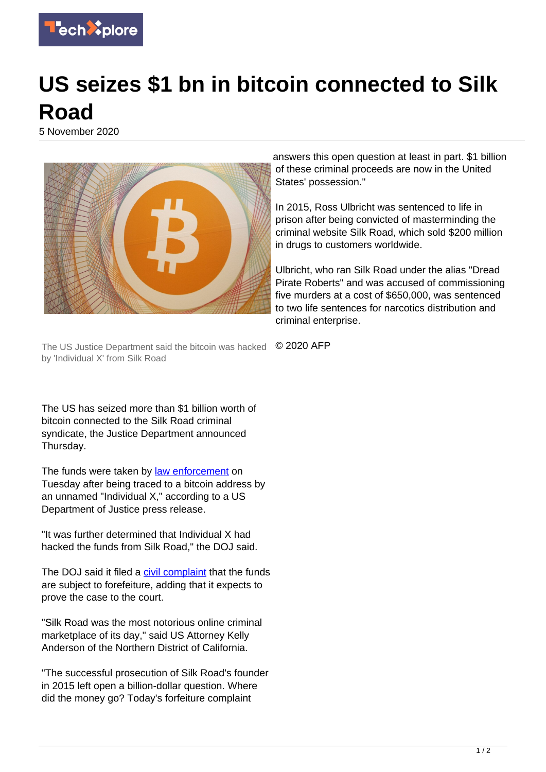

## **US seizes \$1 bn in bitcoin connected to Silk Road**

5 November 2020



The US Justice Department said the bitcoin was hacked © 2020 AFP by 'Individual X' from Silk Road

The US has seized more than \$1 billion worth of bitcoin connected to the Silk Road criminal syndicate, the Justice Department announced Thursday.

The funds were taken by [law enforcement](https://techxplore.com/tags/law+enforcement/) on Tuesday after being traced to a bitcoin address by an unnamed "Individual X," according to a US Department of Justice press release.

"It was further determined that Individual X had hacked the funds from Silk Road," the DOJ said.

The DOJ said it filed a [civil complaint](https://techxplore.com/tags/civil+complaint/) that the funds are subject to forefeiture, adding that it expects to prove the case to the court.

"Silk Road was the most notorious online criminal marketplace of its day," said US Attorney Kelly Anderson of the Northern District of California.

"The successful prosecution of Silk Road's founder in 2015 left open a billion-dollar question. Where did the money go? Today's forfeiture complaint

answers this open question at least in part. \$1 billion of these criminal proceeds are now in the United States' possession."

In 2015, Ross Ulbricht was sentenced to life in prison after being convicted of masterminding the criminal website Silk Road, which sold \$200 million in drugs to customers worldwide.

Ulbricht, who ran Silk Road under the alias "Dread Pirate Roberts" and was accused of commissioning five murders at a cost of \$650,000, was sentenced to two life sentences for narcotics distribution and criminal enterprise.